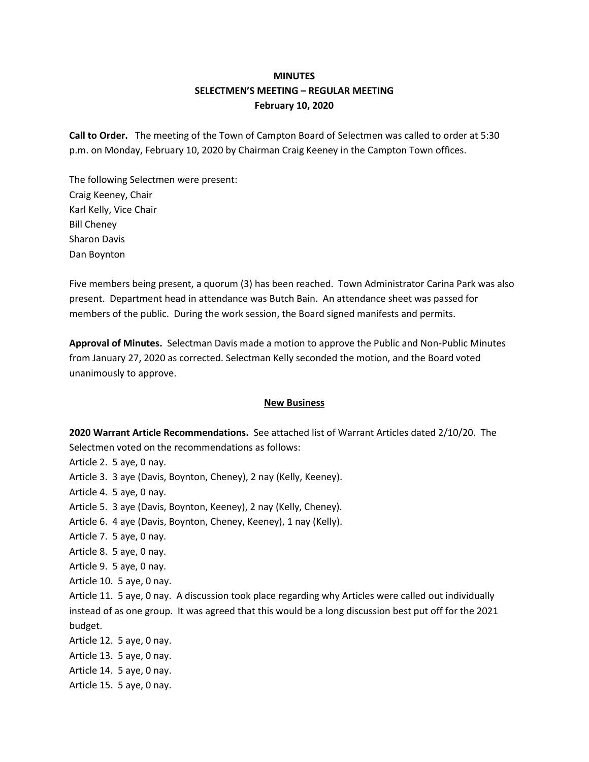# **MINUTES SELECTMEN'S MEETING – REGULAR MEETING February 10, 2020**

**Call to Order.** The meeting of the Town of Campton Board of Selectmen was called to order at 5:30 p.m. on Monday, February 10, 2020 by Chairman Craig Keeney in the Campton Town offices.

The following Selectmen were present: Craig Keeney, Chair Karl Kelly, Vice Chair Bill Cheney Sharon Davis Dan Boynton

Five members being present, a quorum (3) has been reached. Town Administrator Carina Park was also present. Department head in attendance was Butch Bain. An attendance sheet was passed for members of the public. During the work session, the Board signed manifests and permits.

**Approval of Minutes.** Selectman Davis made a motion to approve the Public and Non-Public Minutes from January 27, 2020 as corrected. Selectman Kelly seconded the motion, and the Board voted unanimously to approve.

### **New Business**

**2020 Warrant Article Recommendations.** See attached list of Warrant Articles dated 2/10/20. The Selectmen voted on the recommendations as follows:

Article 2. 5 aye, 0 nay. Article 3. 3 aye (Davis, Boynton, Cheney), 2 nay (Kelly, Keeney). Article 4. 5 aye, 0 nay. Article 5. 3 aye (Davis, Boynton, Keeney), 2 nay (Kelly, Cheney). Article 6. 4 aye (Davis, Boynton, Cheney, Keeney), 1 nay (Kelly). Article 7. 5 aye, 0 nay. Article 8. 5 aye, 0 nay. Article 9. 5 aye, 0 nay. Article 10. 5 aye, 0 nay. Article 11. 5 aye, 0 nay. A discussion took place regarding why Articles were called out individually instead of as one group. It was agreed that this would be a long discussion best put off for the 2021 budget. Article 12. 5 aye, 0 nay. Article 13. 5 aye, 0 nay. Article 14. 5 aye, 0 nay.

Article 15. 5 aye, 0 nay.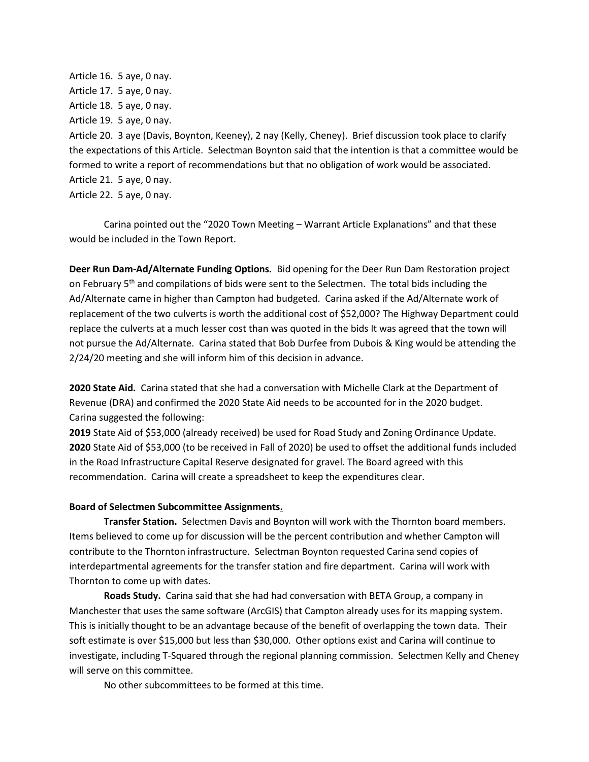Article 16. 5 aye, 0 nay. Article 17. 5 aye, 0 nay. Article 18. 5 aye, 0 nay. Article 19. 5 aye, 0 nay. Article 20. 3 aye (Davis, Boynton, Keeney), 2 nay (Kelly, Cheney). Brief discussion took place to clarify the expectations of this Article. Selectman Boynton said that the intention is that a committee would be formed to write a report of recommendations but that no obligation of work would be associated. Article 21. 5 aye, 0 nay. Article 22. 5 aye, 0 nay.

Carina pointed out the "2020 Town Meeting – Warrant Article Explanations" and that these would be included in the Town Report.

**Deer Run Dam-Ad/Alternate Funding Options.** Bid opening for the Deer Run Dam Restoration project on February 5<sup>th</sup> and compilations of bids were sent to the Selectmen. The total bids including the Ad/Alternate came in higher than Campton had budgeted. Carina asked if the Ad/Alternate work of replacement of the two culverts is worth the additional cost of \$52,000? The Highway Department could replace the culverts at a much lesser cost than was quoted in the bids It was agreed that the town will not pursue the Ad/Alternate. Carina stated that Bob Durfee from Dubois & King would be attending the 2/24/20 meeting and she will inform him of this decision in advance.

**2020 State Aid.** Carina stated that she had a conversation with Michelle Clark at the Department of Revenue (DRA) and confirmed the 2020 State Aid needs to be accounted for in the 2020 budget. Carina suggested the following:

**2019** State Aid of \$53,000 (already received) be used for Road Study and Zoning Ordinance Update. **2020** State Aid of \$53,000 (to be received in Fall of 2020) be used to offset the additional funds included in the Road Infrastructure Capital Reserve designated for gravel. The Board agreed with this recommendation. Carina will create a spreadsheet to keep the expenditures clear.

#### **Board of Selectmen Subcommittee Assignments.**

**Transfer Station.** Selectmen Davis and Boynton will work with the Thornton board members. Items believed to come up for discussion will be the percent contribution and whether Campton will contribute to the Thornton infrastructure. Selectman Boynton requested Carina send copies of interdepartmental agreements for the transfer station and fire department. Carina will work with Thornton to come up with dates.

**Roads Study.** Carina said that she had had conversation with BETA Group, a company in Manchester that uses the same software (ArcGIS) that Campton already uses for its mapping system. This is initially thought to be an advantage because of the benefit of overlapping the town data. Their soft estimate is over \$15,000 but less than \$30,000. Other options exist and Carina will continue to investigate, including T-Squared through the regional planning commission. Selectmen Kelly and Cheney will serve on this committee.

No other subcommittees to be formed at this time.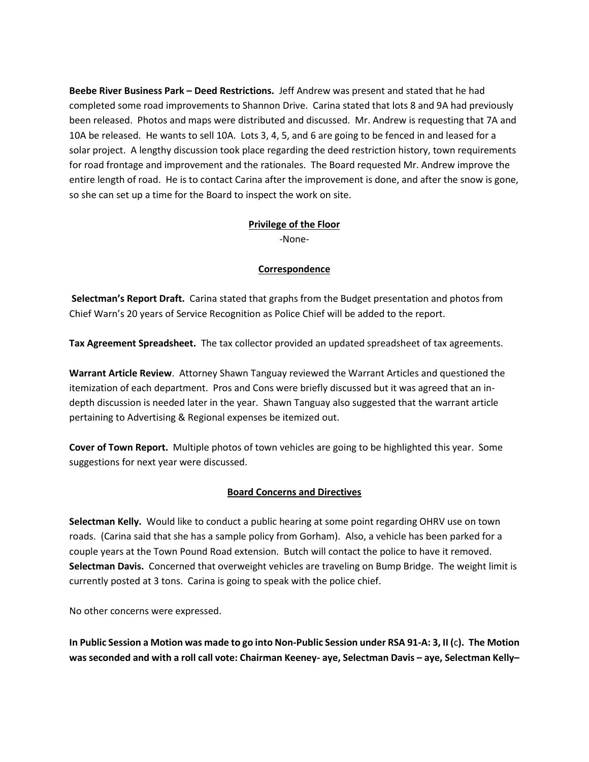**Beebe River Business Park – Deed Restrictions.** Jeff Andrew was present and stated that he had completed some road improvements to Shannon Drive. Carina stated that lots 8 and 9A had previously been released. Photos and maps were distributed and discussed. Mr. Andrew is requesting that 7A and 10A be released. He wants to sell 10A. Lots 3, 4, 5, and 6 are going to be fenced in and leased for a solar project. A lengthy discussion took place regarding the deed restriction history, town requirements for road frontage and improvement and the rationales. The Board requested Mr. Andrew improve the entire length of road. He is to contact Carina after the improvement is done, and after the snow is gone, so she can set up a time for the Board to inspect the work on site.

## **Privilege of the Floor**

-None-

### **Correspondence**

**Selectman's Report Draft.** Carina stated that graphs from the Budget presentation and photos from Chief Warn's 20 years of Service Recognition as Police Chief will be added to the report.

**Tax Agreement Spreadsheet.** The tax collector provided an updated spreadsheet of tax agreements.

**Warrant Article Review**. Attorney Shawn Tanguay reviewed the Warrant Articles and questioned the itemization of each department. Pros and Cons were briefly discussed but it was agreed that an indepth discussion is needed later in the year. Shawn Tanguay also suggested that the warrant article pertaining to Advertising & Regional expenses be itemized out.

**Cover of Town Report.** Multiple photos of town vehicles are going to be highlighted this year. Some suggestions for next year were discussed.

### **Board Concerns and Directives**

**Selectman Kelly.** Would like to conduct a public hearing at some point regarding OHRV use on town roads. (Carina said that she has a sample policy from Gorham). Also, a vehicle has been parked for a couple years at the Town Pound Road extension. Butch will contact the police to have it removed. **Selectman Davis.** Concerned that overweight vehicles are traveling on Bump Bridge. The weight limit is currently posted at 3 tons. Carina is going to speak with the police chief.

No other concerns were expressed.

**In Public Session a Motion was made to go into Non-Public Session under RSA 91-A: 3, II (**c**). The Motion was seconded and with a roll call vote: Chairman Keeney- aye, Selectman Davis – aye, Selectman Kelly–**